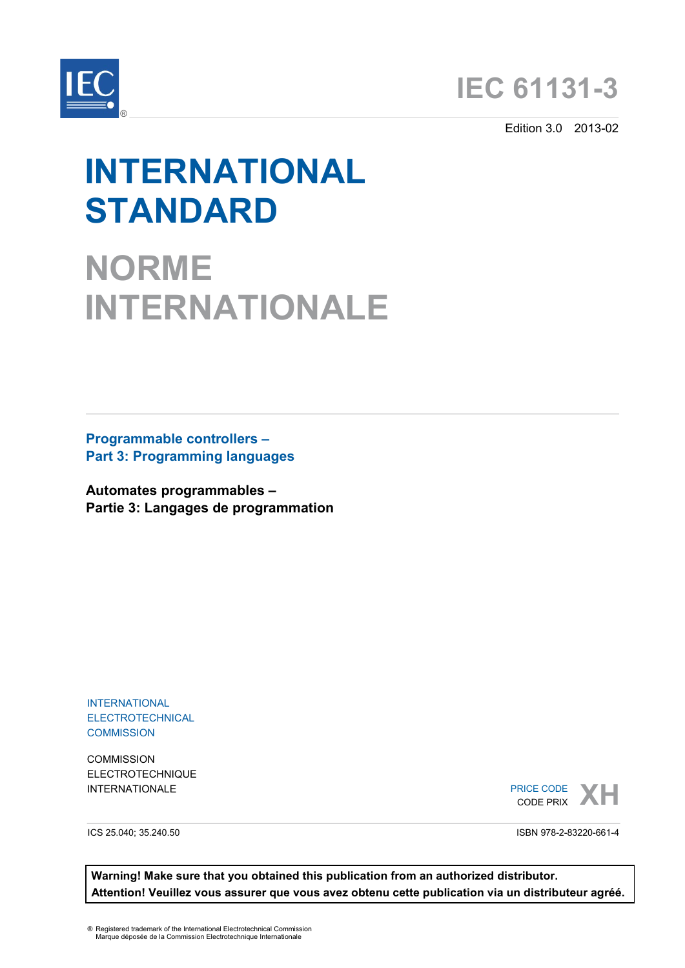



Edition 3.0 2013-02

# **INTERNATIONAL STANDARD**

**NORME INTERNATIONALE**

**Programmable controllers – Part 3: Programming languages** 

**Automates programmables – Partie 3: Langages de programmation**

INTERNATIONAL **ELECTROTECHNICAL COMMISSION** 

**COMMISSION** ELECTROTECHNIQUE

**INTERNATIONALE**<br> **XH**<br> **XH**<br> **XH** CODE PRIX

ICS 25.040; 35.240.50

ISBN 978-2-83220-661-4

**Warning! Make sure that you obtained this publication from an authorized distributor. Attention! Veuillez vous assurer que vous avez obtenu cette publication via un distributeur agréé.**

® Registered trademark of the International Electrotechnical Commission Marque déposée de la Commission Electrotechnique Internationale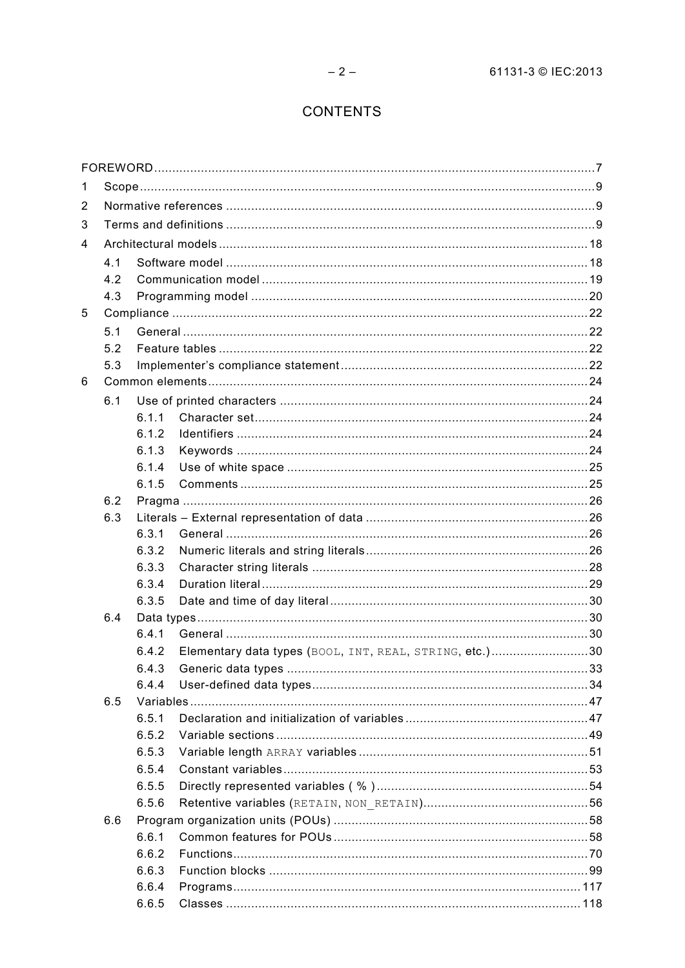# **CONTENTS**

| 1 |     |                |                                                         |  |  |  |  |
|---|-----|----------------|---------------------------------------------------------|--|--|--|--|
| 2 |     |                |                                                         |  |  |  |  |
| 3 |     |                |                                                         |  |  |  |  |
| 4 |     |                |                                                         |  |  |  |  |
|   | 4.1 |                |                                                         |  |  |  |  |
|   | 4.2 |                |                                                         |  |  |  |  |
|   | 4.3 |                |                                                         |  |  |  |  |
| 5 |     |                |                                                         |  |  |  |  |
|   | 5.1 |                |                                                         |  |  |  |  |
|   | 5.2 |                |                                                         |  |  |  |  |
|   | 5.3 |                |                                                         |  |  |  |  |
| 6 |     |                |                                                         |  |  |  |  |
|   | 6.1 |                |                                                         |  |  |  |  |
|   |     | 6.1.1          |                                                         |  |  |  |  |
|   |     | 6.1.2          |                                                         |  |  |  |  |
|   |     | 6.1.3          |                                                         |  |  |  |  |
|   |     | 6.1.4          |                                                         |  |  |  |  |
|   |     | 6.1.5          |                                                         |  |  |  |  |
|   | 6.2 |                |                                                         |  |  |  |  |
|   | 6.3 |                |                                                         |  |  |  |  |
|   |     | 6.3.1          |                                                         |  |  |  |  |
|   |     | 6.3.2          |                                                         |  |  |  |  |
|   |     | 6.3.3          |                                                         |  |  |  |  |
|   |     | 6.3.4          |                                                         |  |  |  |  |
|   |     | 6.3.5          |                                                         |  |  |  |  |
|   | 6.4 |                |                                                         |  |  |  |  |
|   |     | 6.4.1          |                                                         |  |  |  |  |
|   |     | 6.4.2          | Elementary data types (BOOL, INT, REAL, STRING, etc.)30 |  |  |  |  |
|   |     | 6.4.3          |                                                         |  |  |  |  |
|   |     | 6.4.4          |                                                         |  |  |  |  |
|   | 6.5 |                |                                                         |  |  |  |  |
|   |     | 6.5.1<br>6.5.2 |                                                         |  |  |  |  |
|   |     | 6.5.3          |                                                         |  |  |  |  |
|   |     | 6.5.4          |                                                         |  |  |  |  |
|   |     | 6.5.5          |                                                         |  |  |  |  |
|   |     | 6.5.6          |                                                         |  |  |  |  |
|   | 6.6 |                |                                                         |  |  |  |  |
|   |     | 6.6.1          |                                                         |  |  |  |  |
|   |     | 6.6.2          |                                                         |  |  |  |  |
|   |     | 6.6.3          |                                                         |  |  |  |  |
|   |     | 6.6.4          |                                                         |  |  |  |  |
|   |     | 6.6.5          |                                                         |  |  |  |  |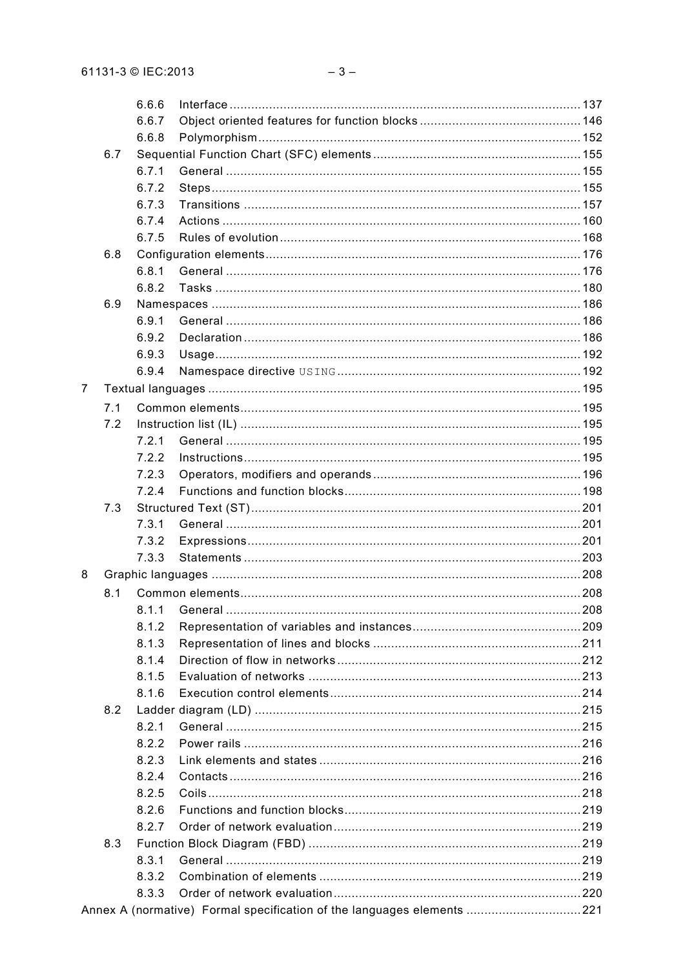|   |     | 6.6.6 |                                                                        |  |
|---|-----|-------|------------------------------------------------------------------------|--|
|   |     | 6.6.7 |                                                                        |  |
|   |     | 6.6.8 |                                                                        |  |
|   | 6.7 |       |                                                                        |  |
|   |     | 6.7.1 |                                                                        |  |
|   |     | 6.7.2 |                                                                        |  |
|   |     | 6.7.3 |                                                                        |  |
|   |     | 6.7.4 |                                                                        |  |
|   |     | 6.7.5 |                                                                        |  |
|   | 6.8 |       |                                                                        |  |
|   |     | 6.8.1 |                                                                        |  |
|   |     | 6.8.2 |                                                                        |  |
|   | 6.9 |       |                                                                        |  |
|   |     | 6.9.1 |                                                                        |  |
|   |     | 6.9.2 |                                                                        |  |
|   |     | 6.9.3 |                                                                        |  |
|   |     | 6.9.4 |                                                                        |  |
| 7 |     |       |                                                                        |  |
|   | 7.1 |       |                                                                        |  |
|   | 7.2 |       |                                                                        |  |
|   |     | 7.2.1 |                                                                        |  |
|   |     | 7.2.2 |                                                                        |  |
|   |     | 7.2.3 |                                                                        |  |
|   |     | 7.2.4 |                                                                        |  |
|   | 7.3 |       |                                                                        |  |
|   |     | 7.3.1 |                                                                        |  |
|   |     | 7.3.2 |                                                                        |  |
|   |     | 7.3.3 |                                                                        |  |
| 8 |     |       |                                                                        |  |
|   |     |       |                                                                        |  |
|   | 8.1 |       |                                                                        |  |
|   |     |       |                                                                        |  |
|   |     | 8.1.2 |                                                                        |  |
|   |     | 8.1.3 |                                                                        |  |
|   |     | 8.1.4 |                                                                        |  |
|   |     | 8.1.5 |                                                                        |  |
|   |     | 8.1.6 |                                                                        |  |
|   | 8.2 |       |                                                                        |  |
|   |     | 8.2.1 |                                                                        |  |
|   |     | 8.2.2 |                                                                        |  |
|   |     | 8.2.3 |                                                                        |  |
|   |     | 8.2.4 |                                                                        |  |
|   |     | 8.2.5 |                                                                        |  |
|   |     | 8.2.6 |                                                                        |  |
|   |     | 8.2.7 |                                                                        |  |
|   | 8.3 |       |                                                                        |  |
|   |     | 8.3.1 |                                                                        |  |
|   |     | 8.3.2 |                                                                        |  |
|   |     | 8.3.3 |                                                                        |  |
|   |     |       | Annex A (normative) Formal specification of the languages elements 221 |  |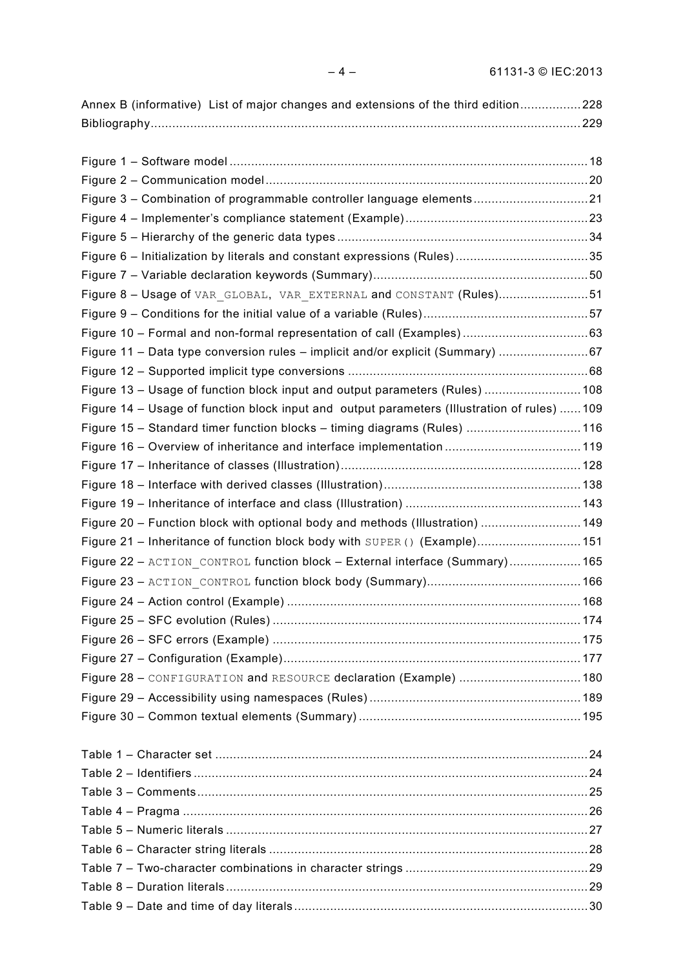| Annex B (informative) List of major changes and extensions of the third edition228           |  |
|----------------------------------------------------------------------------------------------|--|
|                                                                                              |  |
|                                                                                              |  |
|                                                                                              |  |
|                                                                                              |  |
| Figure 3 - Combination of programmable controller language elements21                        |  |
|                                                                                              |  |
|                                                                                              |  |
| Figure 6 - Initialization by literals and constant expressions (Rules)35                     |  |
|                                                                                              |  |
| Figure 8 - Usage of VAR GLOBAL, VAR EXTERNAL and CONSTANT (Rules)51                          |  |
|                                                                                              |  |
|                                                                                              |  |
| Figure 11 - Data type conversion rules - implicit and/or explicit (Summary) 67               |  |
|                                                                                              |  |
| Figure 13 - Usage of function block input and output parameters (Rules)  108                 |  |
| Figure 14 - Usage of function block input and output parameters (Illustration of rules)  109 |  |
| Figure 15 - Standard timer function blocks - timing diagrams (Rules)  116                    |  |
| Figure 16 - Overview of inheritance and interface implementation  119                        |  |
|                                                                                              |  |
|                                                                                              |  |
|                                                                                              |  |
| Figure 20 – Function block with optional body and methods (Illustration) …………………………149       |  |
| Figure 21 – Inheritance of function block body with SUPER () (Example)151                    |  |
| Figure 22 - ACTION CONTROL function block - External interface (Summary) 165                 |  |
|                                                                                              |  |
|                                                                                              |  |
|                                                                                              |  |
|                                                                                              |  |
|                                                                                              |  |
| Figure 28 - CONFIGURATION and RESOURCE declaration (Example)  180                            |  |
|                                                                                              |  |

| FIQUIE 28 - CONFIGURATION and RESOURCE declaration (Example) 180 |  |
|------------------------------------------------------------------|--|
|                                                                  |  |
|                                                                  |  |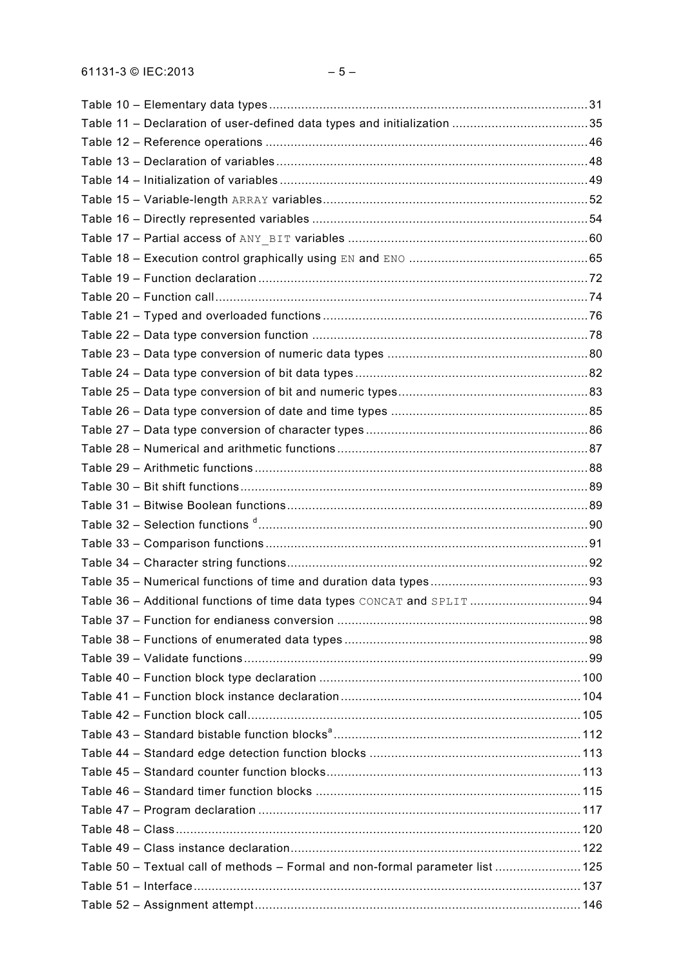| Table 50 - Textual call of methods - Formal and non-formal parameter list  125 |  |
|--------------------------------------------------------------------------------|--|
|                                                                                |  |
|                                                                                |  |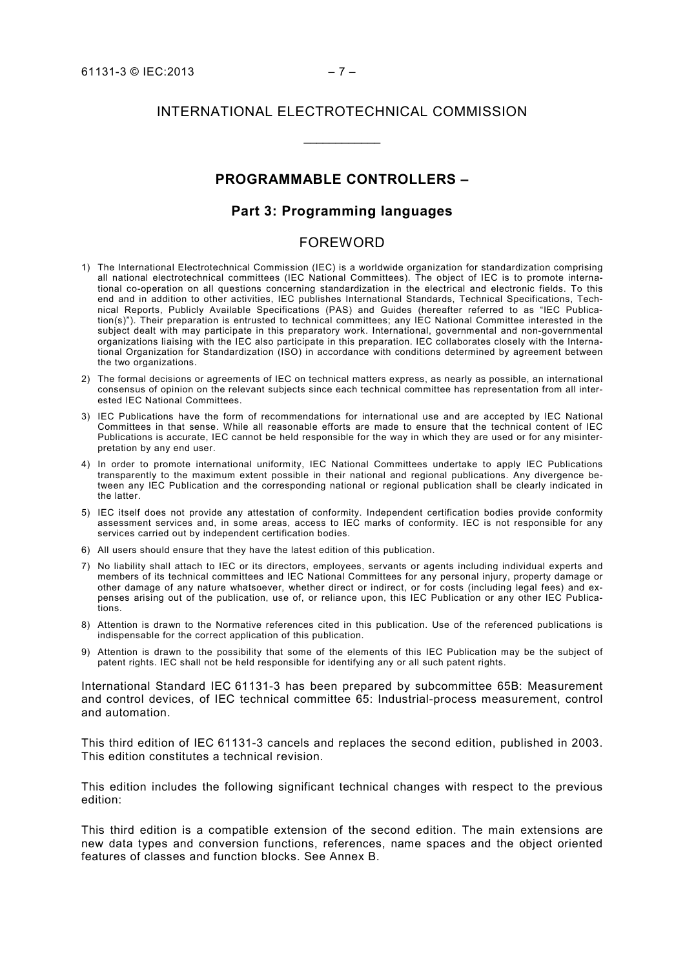# INTERNATIONAL ELECTROTECHNICAL COMMISSION

 $\overline{\phantom{a}}$ 

### **PROGRAMMABLE CONTROLLERS –**

### **Part 3: Programming languages**

### FOREWORD

- 1) The International Electrotechnical Commission (IEC) is a worldwide organization for standardization comprising all national electrotechnical committees (IEC National Committees). The object of IEC is to promote international co-operation on all questions concerning standardization in the electrical and electronic fields. To this end and in addition to other activities, IEC publishes International Standards, Technical Specifications, Technical Reports, Publicly Available Specifications (PAS) and Guides (hereafter referred to as "IEC Publication(s)"). Their preparation is entrusted to technical committees; any IEC National Committee interested in the subject dealt with may participate in this preparatory work. International, governmental and non-governmental organizations liaising with the IEC also participate in this preparation. IEC collaborates closely with the International Organization for Standardization (ISO) in accordance with conditions determined by agreement between the two organizations.
- 2) The formal decisions or agreements of IEC on technical matters express, as nearly as possible, an international consensus of opinion on the relevant subjects since each technical committee has representation from all interested IEC National Committees.
- 3) IEC Publications have the form of recommendations for international use and are accepted by IEC National Committees in that sense. While all reasonable efforts are made to ensure that the technical content of IEC Publications is accurate, IEC cannot be held responsible for the way in which they are used or for any misinterpretation by any end user.
- 4) In order to promote international uniformity, IEC National Committees undertake to apply IEC Publications transparently to the maximum extent possible in their national and regional publications. Any divergence between any IEC Publication and the corresponding national or regional publication shall be clearly indicated in the latter.
- 5) IEC itself does not provide any attestation of conformity. Independent certification bodies provide conformity assessment services and, in some areas, access to IEC marks of conformity. IEC is not responsible for any services carried out by independent certification bodies.
- 6) All users should ensure that they have the latest edition of this publication.
- 7) No liability shall attach to IEC or its directors, employees, servants or agents including individual experts and members of its technical committees and IEC National Committees for any personal injury, property damage or other damage of any nature whatsoever, whether direct or indirect, or for costs (including legal fees) and expenses arising out of the publication, use of, or reliance upon, this IEC Publication or any other IEC Publications.
- 8) Attention is drawn to the Normative references cited in this publication. Use of the referenced publications is indispensable for the correct application of this publication.
- 9) Attention is drawn to the possibility that some of the elements of this IEC Publication may be the subject of patent rights. IEC shall not be held responsible for identifying any or all such patent rights.

International Standard IEC 61131-3 has been prepared by subcommittee 65B: Measurement and control devices, of IEC technical committee 65: Industrial-process measurement, control and automation.

This third edition of IEC 61131-3 cancels and replaces the second edition, published in 2003. This edition constitutes a technical revision.

This edition includes the following significant technical changes with respect to the previous edition:

This third edition is a compatible extension of the second edition. The main extensions are new data types and conversion functions, references, name spaces and the object oriented features of classes and function blocks. See Annex B.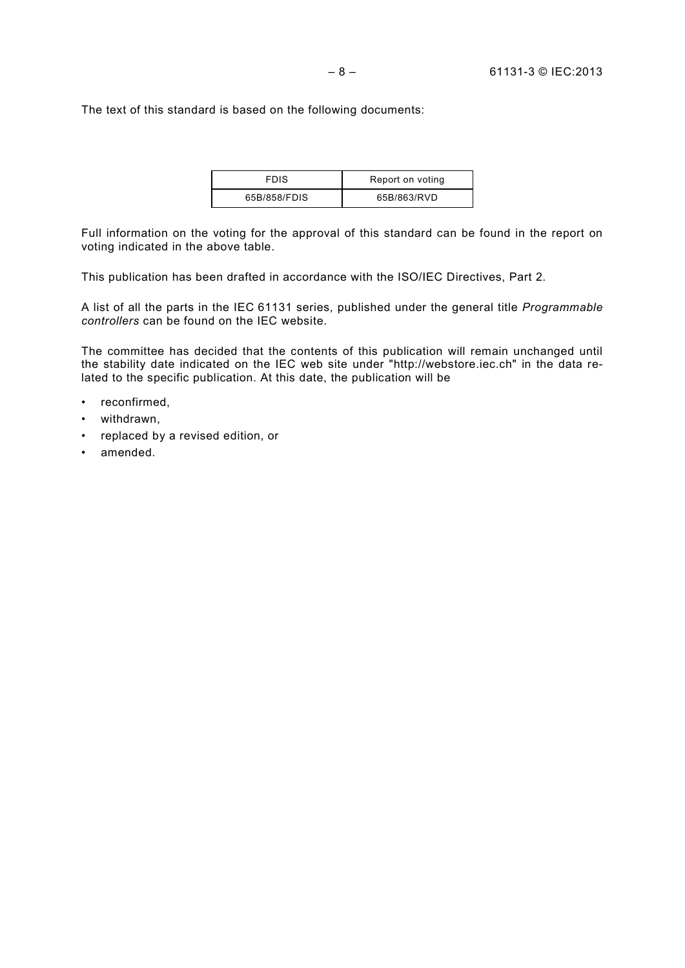The text of this standard is based on the following documents:

| <b>FDIS</b>  | Report on voting |
|--------------|------------------|
| 65B/858/FDIS | 65B/863/RVD      |

Full information on the voting for the approval of this standard can be found in the report on voting indicated in the above table.

This publication has been drafted in accordance with the ISO/IEC Directives, Part 2.

A list of all the parts in the IEC 61131 series, published under the general title *Programmable controllers* can be found on the IEC website.

The committee has decided that the contents of this publication will remain unchanged until the stability date indicated on the IEC web site under "http://webstore.iec.ch" in the data related to the specific publication. At this date, the publication will be

- reconfirmed,
- withdrawn,
- replaced by a revised edition, or
- amended.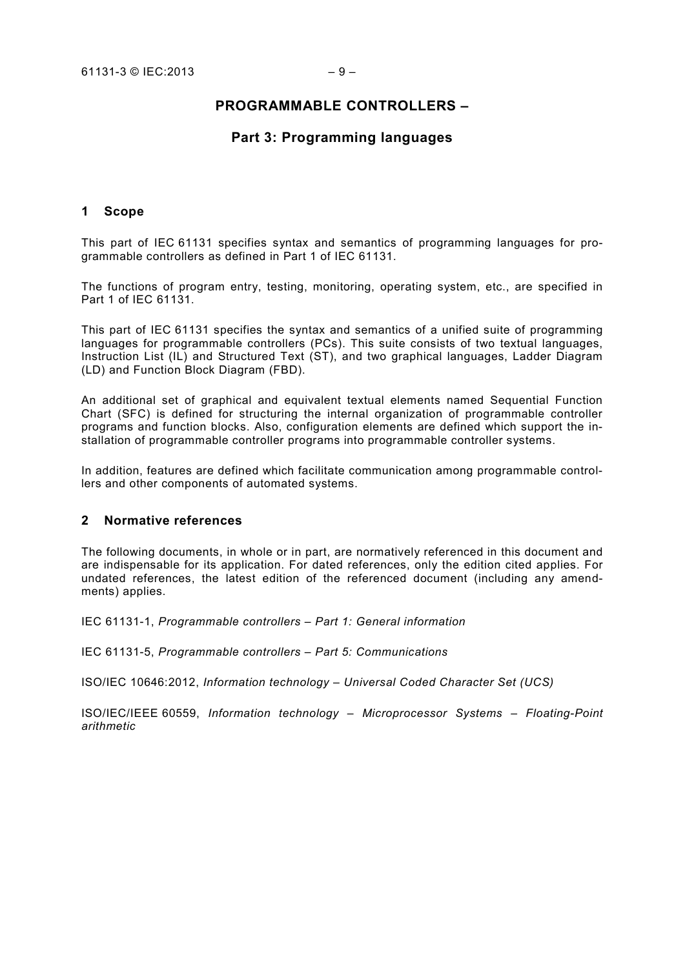# **PROGRAMMABLE CONTROLLERS –**

# **Part 3: Programming languages**

### **1 Scope**

This part of IEC 61131 specifies syntax and semantics of programming languages for programmable controllers as defined in Part 1 of IEC 61131.

The functions of program entry, testing, monitoring, operating system, etc., are specified in Part 1 of IEC 61131.

This part of IEC 61131 specifies the syntax and semantics of a unified suite of programming languages for programmable controllers (PCs). This suite consists of two textual languages, Instruction List (IL) and Structured Text (ST), and two graphical languages, Ladder Diagram (LD) and Function Block Diagram (FBD).

An additional set of graphical and equivalent textual elements named Sequential Function Chart (SFC) is defined for structuring the internal organization of programmable controller programs and function blocks. Also, configuration elements are defined which support the installation of programmable controller programs into programmable controller systems.

In addition, features are defined which facilitate communication among programmable controllers and other components of automated systems.

### **2 Normative references**

The following documents, in whole or in part, are normatively referenced in this document and are indispensable for its application. For dated references, only the edition cited applies. For undated references, the latest edition of the referenced document (including any amendments) applies.

IEC 61131-1, *Programmable controllers – Part 1: General information*

IEC 61131-5, *Programmable controllers – Part 5: Communications*

ISO/IEC 10646:2012, *Information technology – Universal Coded Character Set (UCS)*

ISO/IEC/IEEE 60559, *Information technology – Microprocessor Systems – Floating-Point arithmetic*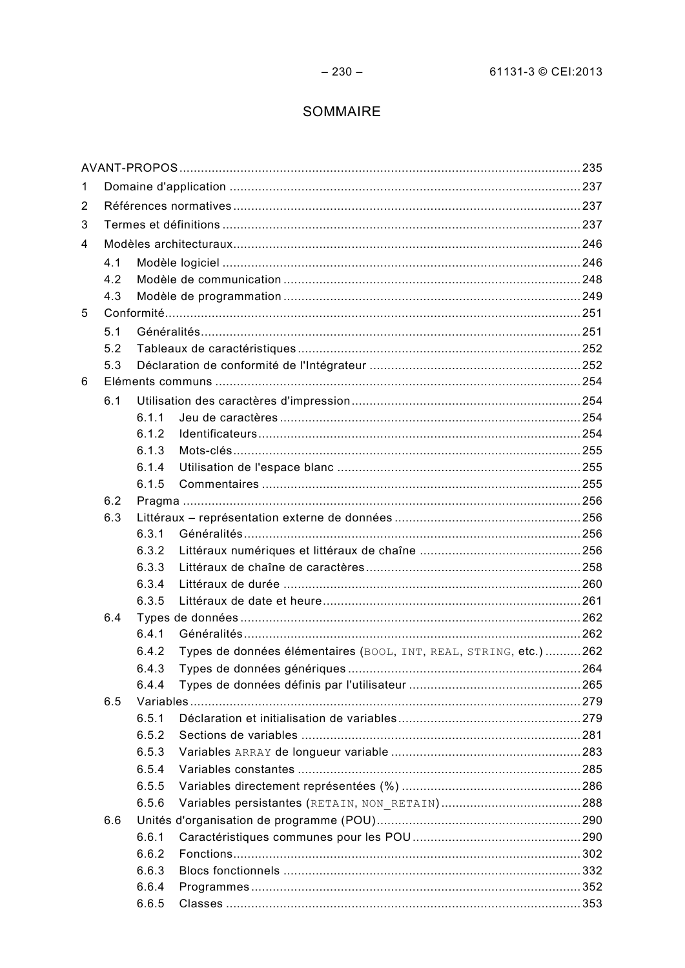# SOMMAIRE

| 1 |     |                |                                                                    |  |
|---|-----|----------------|--------------------------------------------------------------------|--|
| 2 |     |                |                                                                    |  |
| 3 |     |                |                                                                    |  |
| 4 |     |                |                                                                    |  |
|   | 4.1 |                |                                                                    |  |
|   | 4.2 |                |                                                                    |  |
|   | 4.3 |                |                                                                    |  |
| 5 |     |                |                                                                    |  |
|   | 5.1 |                |                                                                    |  |
|   | 5.2 |                |                                                                    |  |
|   | 5.3 |                |                                                                    |  |
| 6 |     |                |                                                                    |  |
|   | 6.1 |                |                                                                    |  |
|   |     | 6 1 1          |                                                                    |  |
|   |     | 6.1.2          |                                                                    |  |
|   |     | 6.1.3          |                                                                    |  |
|   |     | 6.1.4          |                                                                    |  |
|   |     | 6.1.5          |                                                                    |  |
|   | 6.2 |                |                                                                    |  |
|   | 6.3 |                |                                                                    |  |
|   |     | 6.3.1          |                                                                    |  |
|   |     | 6.3.2          |                                                                    |  |
|   |     | 6.3.3          |                                                                    |  |
|   |     | 6.3.4          |                                                                    |  |
|   |     | 6.3.5          |                                                                    |  |
|   | 6.4 |                |                                                                    |  |
|   |     | 6.4.1          |                                                                    |  |
|   |     | 6.4.2          | Types de données élémentaires (BOOL, INT, REAL, STRING, etc.)  262 |  |
|   |     | 6.4.3          |                                                                    |  |
|   |     | 6.4.4          |                                                                    |  |
|   | 6.5 |                |                                                                    |  |
|   |     | 6.5.1          |                                                                    |  |
|   |     | 6.5.2          |                                                                    |  |
|   |     | 6.5.3          |                                                                    |  |
|   |     | 6.5.4<br>6.5.5 |                                                                    |  |
|   |     | 6.5.6          |                                                                    |  |
|   |     |                |                                                                    |  |
|   | 6.6 | 6.6.1          |                                                                    |  |
|   |     | 6.6.2          |                                                                    |  |
|   |     | 6.6.3          |                                                                    |  |
|   |     | 6.6.4          |                                                                    |  |
|   |     | 6.6.5          |                                                                    |  |
|   |     |                |                                                                    |  |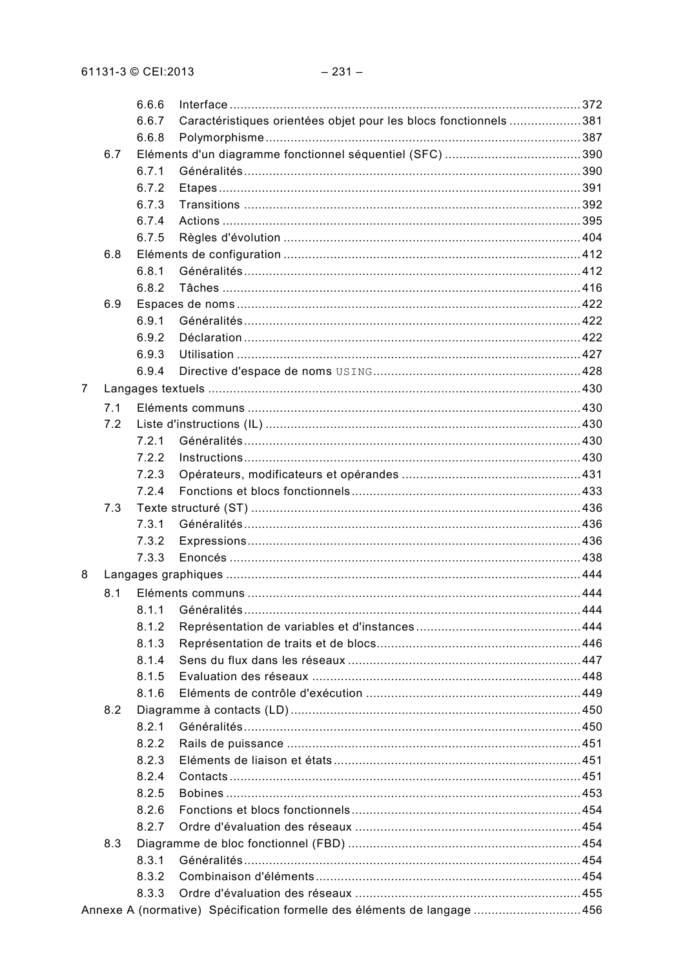|   |     | 6.6.6 |                                                                         |  |
|---|-----|-------|-------------------------------------------------------------------------|--|
|   |     | 6.6.7 | Caractéristiques orientées objet pour les blocs fonctionnels 381        |  |
|   |     | 6.6.8 |                                                                         |  |
|   | 6.7 |       |                                                                         |  |
|   |     | 6.7.1 |                                                                         |  |
|   |     | 6.7.2 |                                                                         |  |
|   |     | 6.7.3 |                                                                         |  |
|   |     | 6.7.4 |                                                                         |  |
|   |     | 6.7.5 |                                                                         |  |
|   | 6.8 |       |                                                                         |  |
|   |     | 6.8.1 |                                                                         |  |
|   |     | 6.8.2 |                                                                         |  |
|   | 6.9 |       |                                                                         |  |
|   |     | 6.9.1 |                                                                         |  |
|   |     | 6.9.2 |                                                                         |  |
|   |     | 6.9.3 |                                                                         |  |
|   |     | 6.9.4 |                                                                         |  |
| 7 |     |       |                                                                         |  |
|   |     |       |                                                                         |  |
|   | 7.1 |       |                                                                         |  |
|   | 7.2 |       |                                                                         |  |
|   |     | 7.2.1 |                                                                         |  |
|   |     | 7.2.2 |                                                                         |  |
|   |     | 7.2.3 |                                                                         |  |
|   |     | 7.2.4 |                                                                         |  |
|   | 7.3 |       |                                                                         |  |
|   |     | 7.3.1 |                                                                         |  |
|   |     | 7.3.2 |                                                                         |  |
|   |     | 7.3.3 |                                                                         |  |
| 8 |     |       |                                                                         |  |
|   | 8.1 |       |                                                                         |  |
|   |     |       |                                                                         |  |
|   |     | 8.1.2 |                                                                         |  |
|   |     | 8.1.3 |                                                                         |  |
|   |     | 8.1.4 |                                                                         |  |
|   |     | 8.1.5 |                                                                         |  |
|   |     | 8.1.6 |                                                                         |  |
|   | 8.2 |       |                                                                         |  |
|   |     | 8.2.1 |                                                                         |  |
|   |     | 8.2.2 |                                                                         |  |
|   |     | 8.2.3 |                                                                         |  |
|   |     | 8.2.4 |                                                                         |  |
|   |     | 8.2.5 |                                                                         |  |
|   |     | 8.2.6 |                                                                         |  |
|   |     | 8.2.7 |                                                                         |  |
|   | 8.3 |       |                                                                         |  |
|   |     | 8.3.1 |                                                                         |  |
|   |     | 8.3.2 |                                                                         |  |
|   |     | 8.3.3 |                                                                         |  |
|   |     |       | Annexe A (normative) Spécification formelle des éléments de langage 456 |  |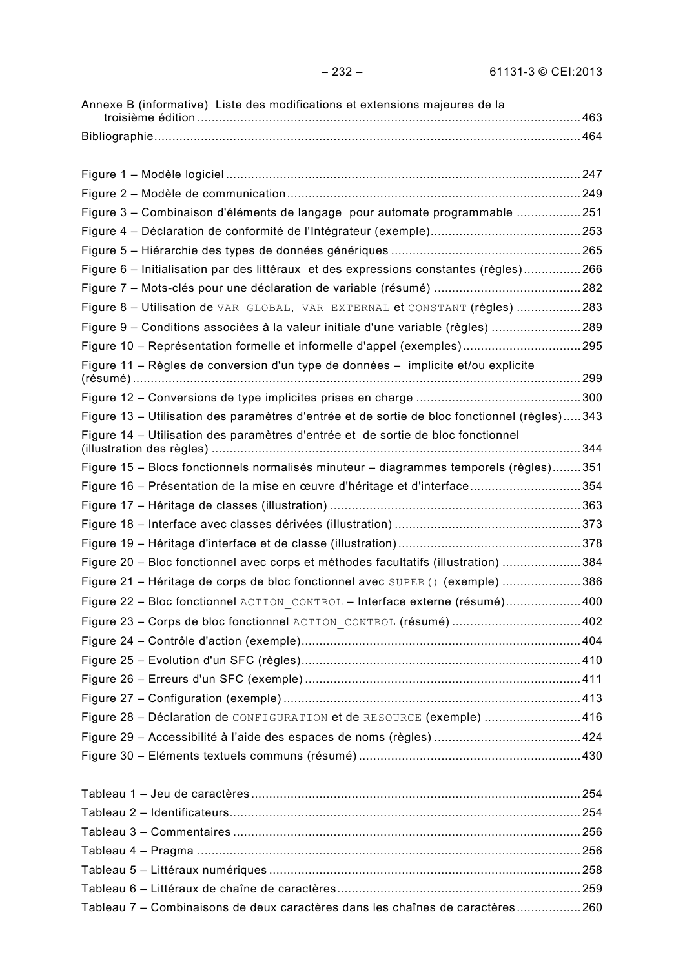| Annexe B (informative) Liste des modifications et extensions majeures de la                  |  |
|----------------------------------------------------------------------------------------------|--|
|                                                                                              |  |
|                                                                                              |  |
|                                                                                              |  |
|                                                                                              |  |
| Figure 3 - Combinaison d'éléments de langage pour automate programmable 251                  |  |
|                                                                                              |  |
|                                                                                              |  |
| Figure 6 – Initialisation par des littéraux et des expressions constantes (règles)266        |  |
|                                                                                              |  |
| Figure 8 - Utilisation de VAR GLOBAL, VAR EXTERNAL et CONSTANT (règles) 283                  |  |
| Figure 9 – Conditions associées à la valeur initiale d'une variable (règles) 289             |  |
| Figure 10 - Représentation formelle et informelle d'appel (exemples)295                      |  |
| Figure 11 - Règles de conversion d'un type de données - implicite et/ou explicite            |  |
|                                                                                              |  |
| Figure 13 – Utilisation des paramètres d'entrée et de sortie de bloc fonctionnel (règles)343 |  |
| Figure 14 – Utilisation des paramètres d'entrée et de sortie de bloc fonctionnel             |  |
| Figure 15 - Blocs fonctionnels normalisés minuteur - diagrammes temporels (règles)351        |  |
| Figure 16 – Présentation de la mise en œuvre d'héritage et d'interface354                    |  |
|                                                                                              |  |
|                                                                                              |  |
|                                                                                              |  |
| Figure 20 - Bloc fonctionnel avec corps et méthodes facultatifs (illustration) 384           |  |
| Figure 21 - Héritage de corps de bloc fonctionnel avec SUPER() (exemple) 386                 |  |
| Figure 22 - Bloc fonctionnel ACTION CONTROL - Interface externe (résumé)400                  |  |
| Figure 23 - Corps de bloc fonctionnel ACTION CONTROL (résumé) 402                            |  |
|                                                                                              |  |
|                                                                                              |  |
|                                                                                              |  |
|                                                                                              |  |
| Figure 28 - Déclaration de CONFIGURATION et de RESOURCE (exemple) 416                        |  |
|                                                                                              |  |
|                                                                                              |  |
|                                                                                              |  |
|                                                                                              |  |
|                                                                                              |  |
|                                                                                              |  |
|                                                                                              |  |
|                                                                                              |  |
|                                                                                              |  |
| Tableau 7 - Combinaisons de deux caractères dans les chaînes de caractères260                |  |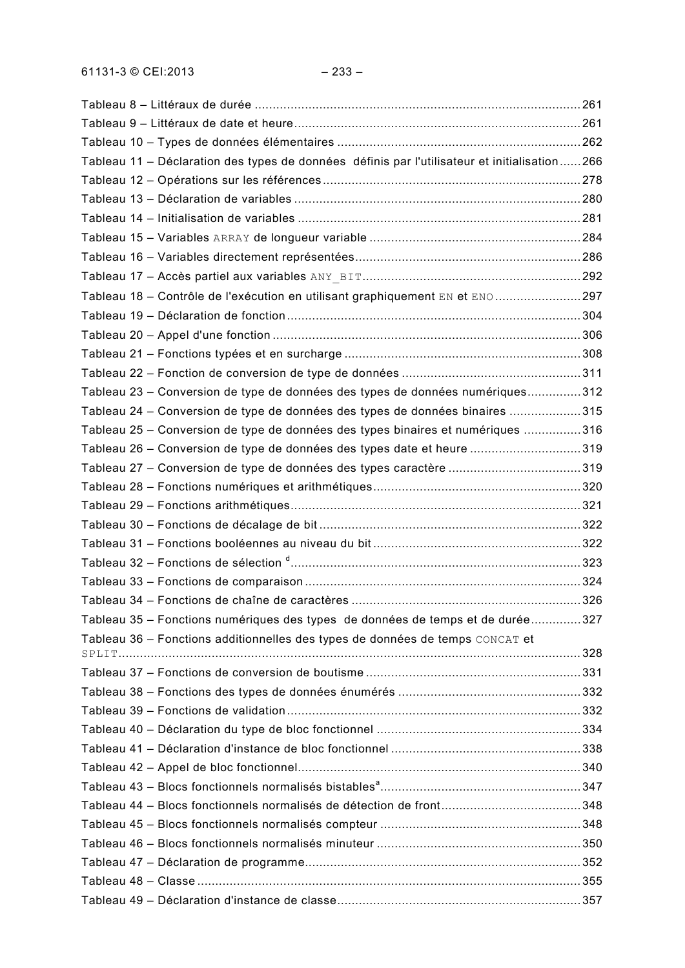| Tableau 11 - Déclaration des types de données définis par l'utilisateur et initialisation266 |  |
|----------------------------------------------------------------------------------------------|--|
|                                                                                              |  |
|                                                                                              |  |
|                                                                                              |  |
|                                                                                              |  |
|                                                                                              |  |
|                                                                                              |  |
| Tableau 18 - Contrôle de l'exécution en utilisant graphiquement EN et ENO297                 |  |
|                                                                                              |  |
|                                                                                              |  |
|                                                                                              |  |
|                                                                                              |  |
| Tableau 23 – Conversion de type de données des types de données numériques312                |  |
| Tableau 24 – Conversion de type de données des types de données binaires 315                 |  |
| Tableau 25 - Conversion de type de données des types binaires et numériques 316              |  |
| Tableau 26 – Conversion de type de données des types date et heure 319                       |  |
| Tableau 27 - Conversion de type de données des types caractère 319                           |  |
|                                                                                              |  |
|                                                                                              |  |
|                                                                                              |  |
|                                                                                              |  |
|                                                                                              |  |
|                                                                                              |  |
|                                                                                              |  |
| Tableau 35 – Fonctions numériques des types de données de temps et de durée327               |  |
| Tableau 36 - Fonctions additionnelles des types de données de temps CONCAT et                |  |
|                                                                                              |  |
|                                                                                              |  |
|                                                                                              |  |
|                                                                                              |  |
|                                                                                              |  |
|                                                                                              |  |
|                                                                                              |  |
|                                                                                              |  |
|                                                                                              |  |
|                                                                                              |  |
|                                                                                              |  |
|                                                                                              |  |
|                                                                                              |  |
|                                                                                              |  |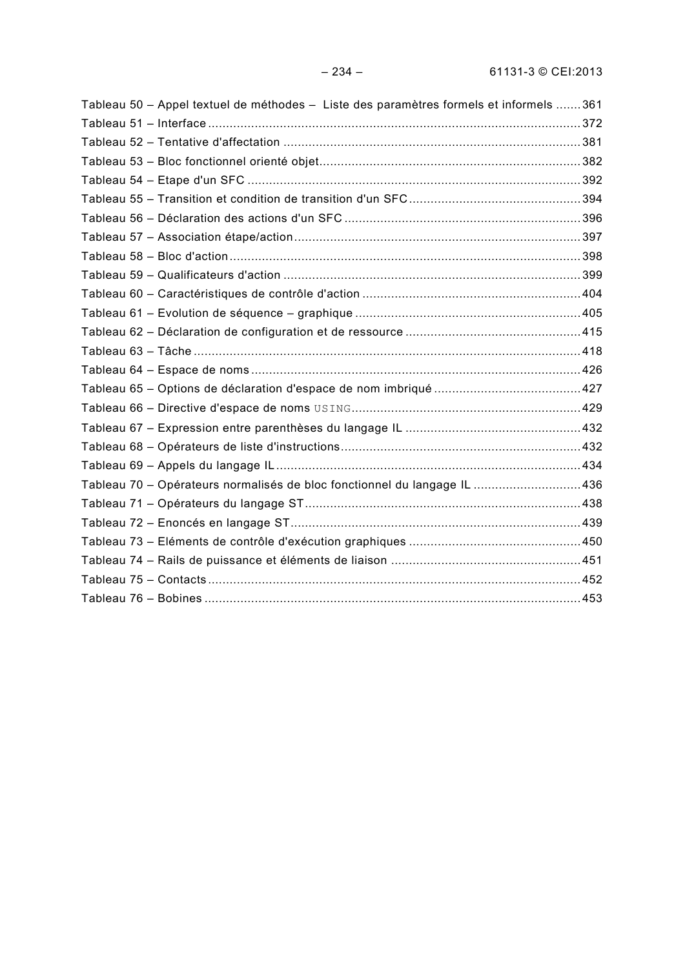| Tableau 50 – Appel textuel de méthodes – Liste des paramètres formels et informels 361 |  |
|----------------------------------------------------------------------------------------|--|
|                                                                                        |  |
|                                                                                        |  |
|                                                                                        |  |
|                                                                                        |  |
|                                                                                        |  |
|                                                                                        |  |
|                                                                                        |  |
|                                                                                        |  |
|                                                                                        |  |
|                                                                                        |  |
|                                                                                        |  |
|                                                                                        |  |
|                                                                                        |  |
|                                                                                        |  |
|                                                                                        |  |
|                                                                                        |  |
|                                                                                        |  |
|                                                                                        |  |
|                                                                                        |  |
| Tableau 70 - Opérateurs normalisés de bloc fonctionnel du langage IL 436               |  |
|                                                                                        |  |
|                                                                                        |  |
|                                                                                        |  |
|                                                                                        |  |
|                                                                                        |  |
|                                                                                        |  |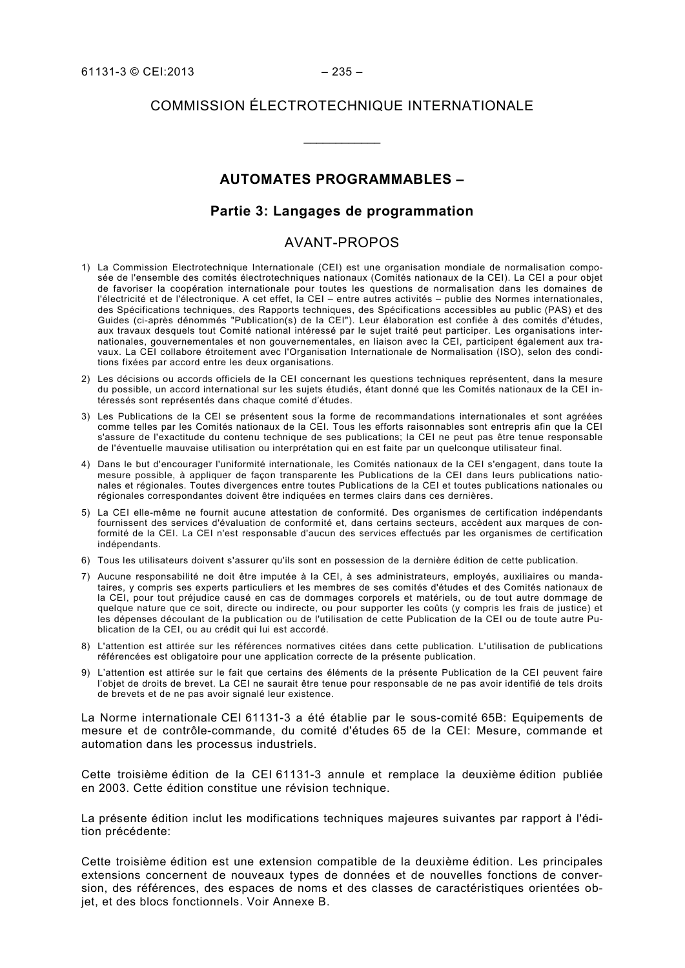# COMMISSION ÉLECTROTECHNIQUE INTERNATIONALE

 $\overline{\phantom{a}}$ 

### **AUTOMATES PROGRAMMABLES –**

#### **Partie 3: Langages de programmation**

### AVANT-PROPOS

- 1) La Commission Electrotechnique Internationale (CEI) est une organisation mondiale de normalisation composée de l'ensemble des comités électrotechniques nationaux (Comités nationaux de la CEI). La CEI a pour objet de favoriser la coopération internationale pour toutes les questions de normalisation dans les domaines de l'électricité et de l'électronique. A cet effet, la CEI – entre autres activités – publie des Normes internationales, des Spécifications techniques, des Rapports techniques, des Spécifications accessibles au public (PAS) et des Guides (ci-après dénommés "Publication(s) de la CEI"). Leur élaboration est confiée à des comités d'études, aux travaux desquels tout Comité national intéressé par le sujet traité peut participer. Les organisations internationales, gouvernementales et non gouvernementales, en liaison avec la CEI, participent également aux travaux. La CEI collabore étroitement avec l'Organisation Internationale de Normalisation (ISO), selon des conditions fixées par accord entre les deux organisations.
- 2) Les décisions ou accords officiels de la CEI concernant les questions techniques représentent, dans la mesure du possible, un accord international sur les sujets étudiés, étant donné que les Comités nationaux de la CEI intéressés sont représentés dans chaque comité d'études.
- 3) Les Publications de la CEI se présentent sous la forme de recommandations internationales et sont agréées comme telles par les Comités nationaux de la CEI. Tous les efforts raisonnables sont entrepris afin que la CEI s'assure de l'exactitude du contenu technique de ses publications; la CEI ne peut pas être tenue responsable de l'éventuelle mauvaise utilisation ou interprétation qui en est faite par un quelconque utilisateur final.
- 4) Dans le but d'encourager l'uniformité internationale, les Comités nationaux de la CEI s'engagent, dans toute la mesure possible, à appliquer de façon transparente les Publications de la CEI dans leurs publications nationales et régionales. Toutes divergences entre toutes Publications de la CEI et toutes publications nationales ou régionales correspondantes doivent être indiquées en termes clairs dans ces dernières.
- 5) La CEI elle-même ne fournit aucune attestation de conformité. Des organismes de certification indépendants fournissent des services d'évaluation de conformité et, dans certains secteurs, accèdent aux marques de conformité de la CEI. La CEI n'est responsable d'aucun des services effectués par les organismes de certification indépendants.
- 6) Tous les utilisateurs doivent s'assurer qu'ils sont en possession de la dernière édition de cette publication.
- 7) Aucune responsabilité ne doit être imputée à la CEI, à ses administrateurs, employés, auxiliaires ou mandataires, y compris ses experts particuliers et les membres de ses comités d'études et des Comités nationaux de la CEI, pour tout préjudice causé en cas de dommages corporels et matériels, ou de tout autre dommage de quelque nature que ce soit, directe ou indirecte, ou pour supporter les coûts (y compris les frais de justice) et les dépenses découlant de la publication ou de l'utilisation de cette Publication de la CEI ou de toute autre Publication de la CEI, ou au crédit qui lui est accordé.
- 8) L'attention est attirée sur les références normatives citées dans cette publication. L'utilisation de publications référencées est obligatoire pour une application correcte de la présente publication.
- 9) L'attention est attirée sur le fait que certains des éléments de la présente Publication de la CEI peuvent faire l'objet de droits de brevet. La CEI ne saurait être tenue pour responsable de ne pas avoir identifié de tels droits de brevets et de ne pas avoir signalé leur existence.

La Norme internationale CEI 61131-3 a été établie par le sous-comité 65B: Equipements de mesure et de contrôle-commande, du comité d'études 65 de la CEI: Mesure, commande et automation dans les processus industriels.

Cette troisième édition de la CEI 61131-3 annule et remplace la deuxième édition publiée en 2003. Cette édition constitue une révision technique.

La présente édition inclut les modifications techniques majeures suivantes par rapport à l'édition précédente:

Cette troisième édition est une extension compatible de la deuxième édition. Les principales extensions concernent de nouveaux types de données et de nouvelles fonctions de conversion, des références, des espaces de noms et des classes de caractéristiques orientées objet, et des blocs fonctionnels. Voir Annexe B.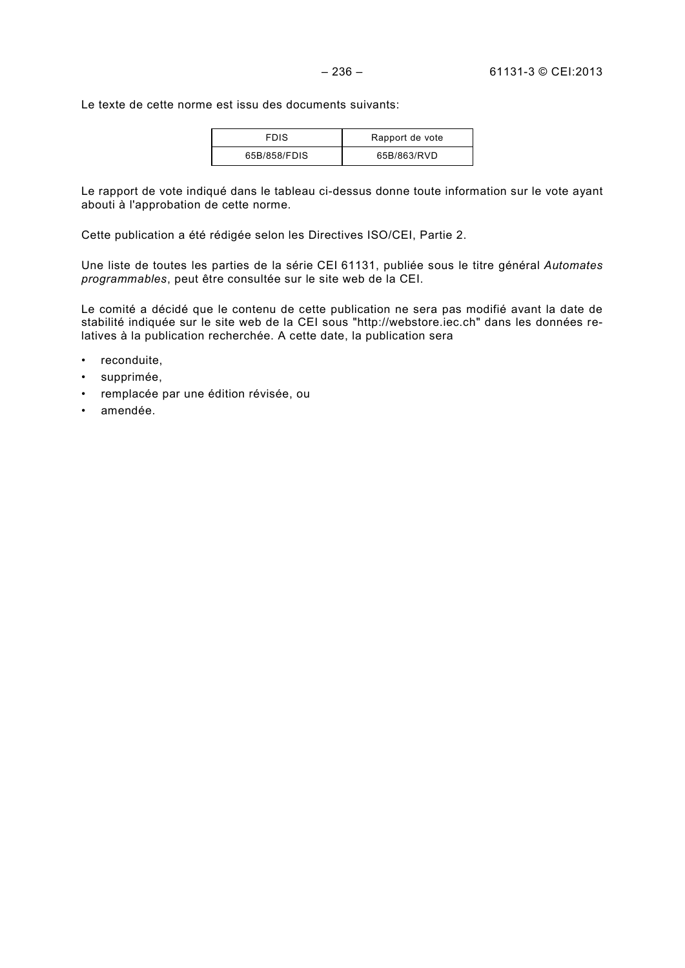Le texte de cette norme est issu des documents suivants:

| <b>FDIS</b>  | Rapport de vote |
|--------------|-----------------|
| 65B/858/FDIS | 65B/863/RVD     |

Le rapport de vote indiqué dans le tableau ci-dessus donne toute information sur le vote ayant abouti à l'approbation de cette norme.

Cette publication a été rédigée selon les Directives ISO/CEI, Partie 2.

Une liste de toutes les parties de la série CEI 61131, publiée sous le titre général *Automates programmables*, peut être consultée sur le site web de la CEI.

Le comité a décidé que le contenu de cette publication ne sera pas modifié avant la date de stabilité indiquée sur le site web de la CEI sous "http://webstore.iec.ch" dans les données relatives à la publication recherchée. A cette date, la publication sera

- reconduite,
- supprimée,
- remplacée par une édition révisée, ou
- amendée.